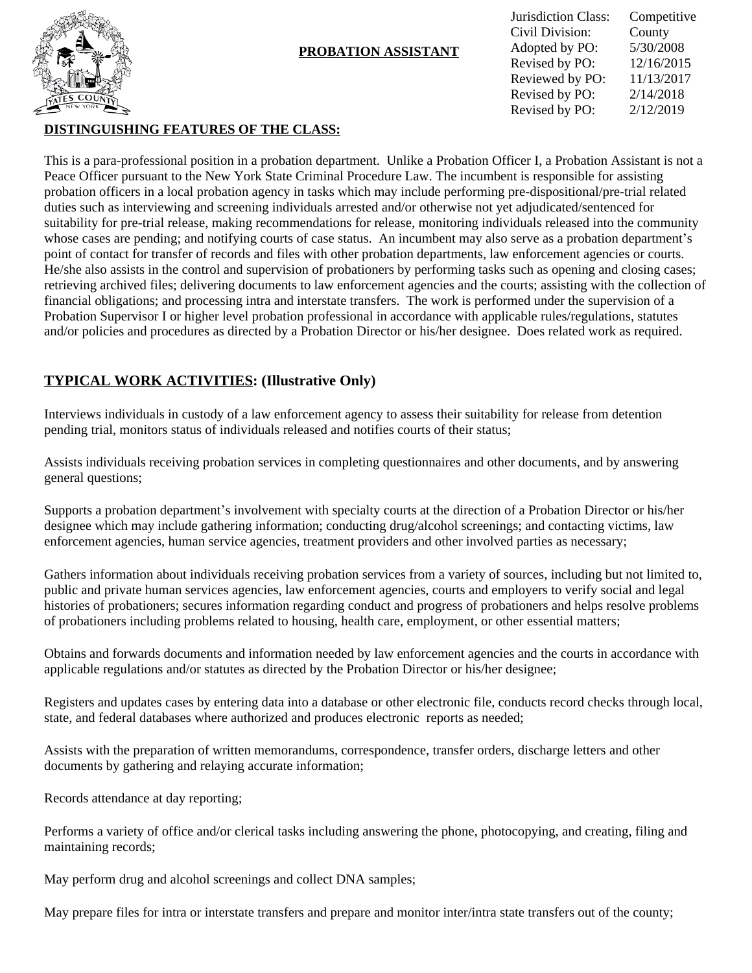

## **PROBATION ASSISTANT**

| Jurisdiction Class: | Competitive |
|---------------------|-------------|
| Civil Division:     | County      |
| Adopted by PO:      | 5/30/2008   |
| Revised by PO:      | 12/16/2015  |
| Reviewed by PO:     | 11/13/2017  |
| Revised by PO:      | 2/14/2018   |
| Revised by PO:      | 2/12/2019   |

## **DISTINGUISHING FEATURES OF THE CLASS:**

This is a para-professional position in a probation department. Unlike a Probation Officer I, a Probation Assistant is not a Peace Officer pursuant to the New York State Criminal Procedure Law. The incumbent is responsible for assisting probation officers in a local probation agency in tasks which may include performing pre-dispositional/pre-trial related duties such as interviewing and screening individuals arrested and/or otherwise not yet adjudicated/sentenced for suitability for pre-trial release, making recommendations for release, monitoring individuals released into the community whose cases are pending; and notifying courts of case status. An incumbent may also serve as a probation department's point of contact for transfer of records and files with other probation departments, law enforcement agencies or courts. He/she also assists in the control and supervision of probationers by performing tasks such as opening and closing cases; retrieving archived files; delivering documents to law enforcement agencies and the courts; assisting with the collection of financial obligations; and processing intra and interstate transfers. The work is performed under the supervision of a Probation Supervisor I or higher level probation professional in accordance with applicable rules/regulations, statutes and/or policies and procedures as directed by a Probation Director or his/her designee. Does related work as required.

# **TYPICAL WORK ACTIVITIES: (Illustrative Only)**

Interviews individuals in custody of a law enforcement agency to assess their suitability for release from detention pending trial, monitors status of individuals released and notifies courts of their status;

Assists individuals receiving probation services in completing questionnaires and other documents, and by answering general questions;

Supports a probation department's involvement with specialty courts at the direction of a Probation Director or his/her designee which may include gathering information; conducting drug/alcohol screenings; and contacting victims, law enforcement agencies, human service agencies, treatment providers and other involved parties as necessary;

Gathers information about individuals receiving probation services from a variety of sources, including but not limited to, public and private human services agencies, law enforcement agencies, courts and employers to verify social and legal histories of probationers; secures information regarding conduct and progress of probationers and helps resolve problems of probationers including problems related to housing, health care, employment, or other essential matters;

Obtains and forwards documents and information needed by law enforcement agencies and the courts in accordance with applicable regulations and/or statutes as directed by the Probation Director or his/her designee;

Registers and updates cases by entering data into a database or other electronic file, conducts record checks through local, state, and federal databases where authorized and produces electronic reports as needed;

Assists with the preparation of written memorandums, correspondence, transfer orders, discharge letters and other documents by gathering and relaying accurate information;

Records attendance at day reporting;

Performs a variety of office and/or clerical tasks including answering the phone, photocopying, and creating, filing and maintaining records;

May perform drug and alcohol screenings and collect DNA samples;

May prepare files for intra or interstate transfers and prepare and monitor inter/intra state transfers out of the county;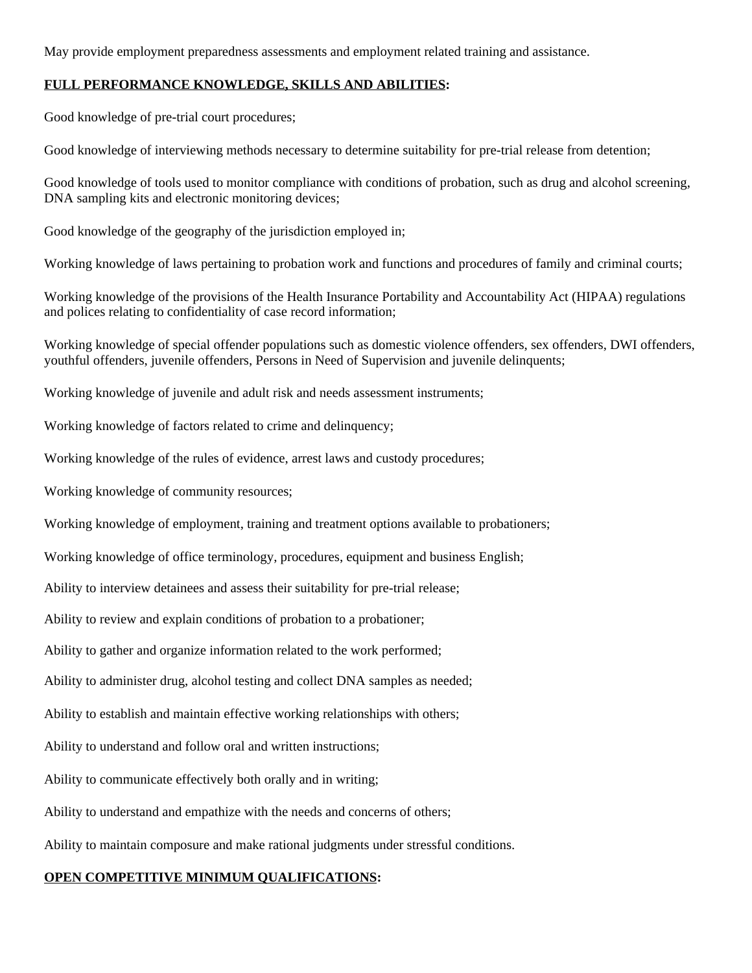May provide employment preparedness assessments and employment related training and assistance.

### **FULL PERFORMANCE KNOWLEDGE, SKILLS AND ABILITIES:**

Good knowledge of pre-trial court procedures;

Good knowledge of interviewing methods necessary to determine suitability for pre-trial release from detention;

Good knowledge of tools used to monitor compliance with conditions of probation, such as drug and alcohol screening, DNA sampling kits and electronic monitoring devices;

Good knowledge of the geography of the jurisdiction employed in;

Working knowledge of laws pertaining to probation work and functions and procedures of family and criminal courts;

Working knowledge of the provisions of the Health Insurance Portability and Accountability Act (HIPAA) regulations and polices relating to confidentiality of case record information;

Working knowledge of special offender populations such as domestic violence offenders, sex offenders, DWI offenders, youthful offenders, juvenile offenders, Persons in Need of Supervision and juvenile delinquents;

Working knowledge of juvenile and adult risk and needs assessment instruments;

Working knowledge of factors related to crime and delinquency;

Working knowledge of the rules of evidence, arrest laws and custody procedures;

Working knowledge of community resources;

Working knowledge of employment, training and treatment options available to probationers;

Working knowledge of office terminology, procedures, equipment and business English;

Ability to interview detainees and assess their suitability for pre-trial release;

Ability to review and explain conditions of probation to a probationer;

Ability to gather and organize information related to the work performed;

Ability to administer drug, alcohol testing and collect DNA samples as needed;

Ability to establish and maintain effective working relationships with others;

Ability to understand and follow oral and written instructions;

Ability to communicate effectively both orally and in writing;

Ability to understand and empathize with the needs and concerns of others;

Ability to maintain composure and make rational judgments under stressful conditions.

#### **OPEN COMPETITIVE MINIMUM QUALIFICATIONS:**